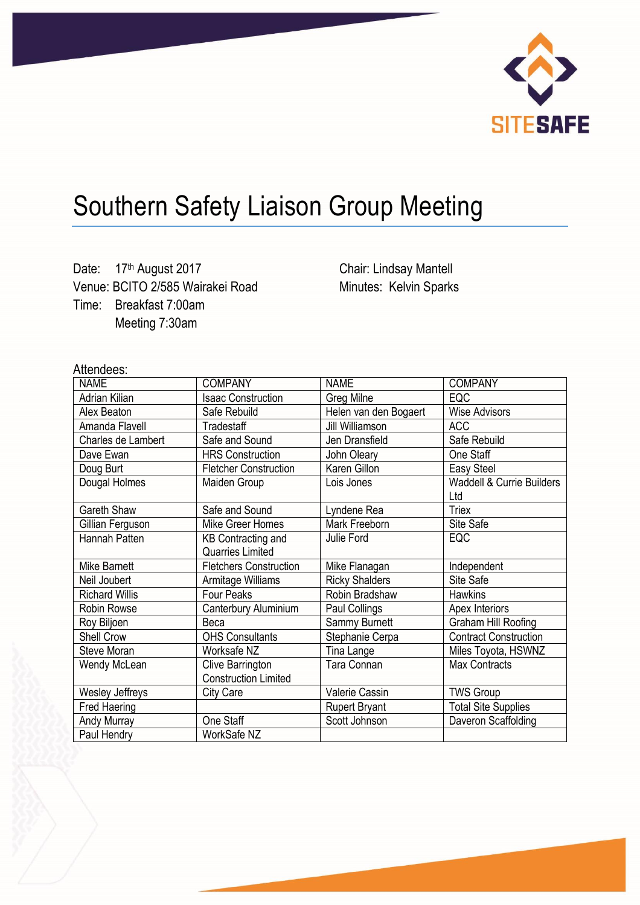

## Southern Safety Liaison Group Meeting

Date: 17th August 2017 Venue: BCITO 2/585 Wairakei Road Time: Breakfast 7:00am Meeting 7:30am

Chair: Lindsay Mantell Minutes: Kelvin Sparks

## Attendees:

| <b>NAME</b>            | <b>COMPANY</b>                | <b>NAME</b>           | <b>COMPANY</b>                       |
|------------------------|-------------------------------|-----------------------|--------------------------------------|
| Adrian Kilian          | <b>Isaac Construction</b>     | Greg Milne            | <b>EQC</b>                           |
| Alex Beaton            | Safe Rebuild                  | Helen van den Bogaert | <b>Wise Advisors</b>                 |
| Amanda Flavell         | Tradestaff                    | Jill Williamson       | <b>ACC</b>                           |
| Charles de Lambert     | Safe and Sound                | Jen Dransfield        | Safe Rebuild                         |
| Dave Ewan              | <b>HRS Construction</b>       | John Oleary           | One Staff                            |
| Doug Burt              | <b>Fletcher Construction</b>  | Karen Gillon          | Easy Steel                           |
| Dougal Holmes          | Maiden Group                  | Lois Jones            | <b>Waddell &amp; Currie Builders</b> |
|                        |                               |                       | Ltd                                  |
| Gareth Shaw            | Safe and Sound                | Lyndene Rea           | <b>Triex</b>                         |
| Gillian Ferguson       | Mike Greer Homes              | Mark Freeborn         | Site Safe                            |
| Hannah Patten          | <b>KB Contracting and</b>     | Julie Ford            | EQC                                  |
|                        | <b>Quarries Limited</b>       |                       |                                      |
| <b>Mike Barnett</b>    | <b>Fletchers Construction</b> | Mike Flanagan         | Independent                          |
| Neil Joubert           | Armitage Williams             | <b>Ricky Shalders</b> | Site Safe                            |
| <b>Richard Willis</b>  | Four Peaks                    | Robin Bradshaw        | <b>Hawkins</b>                       |
| Robin Rowse            | Canterbury Aluminium          | Paul Collings         | Apex Interiors                       |
| Roy Biljoen            | Beca                          | Sammy Burnett         | Graham Hill Roofing                  |
| Shell Crow             | <b>OHS Consultants</b>        | Stephanie Cerpa       | <b>Contract Construction</b>         |
| Steve Moran            | Worksafe NZ                   | Tina Lange            | Miles Toyota, HSWNZ                  |
| Wendy McLean           | Clive Barrington              | Tara Connan           | <b>Max Contracts</b>                 |
|                        | <b>Construction Limited</b>   |                       |                                      |
| <b>Wesley Jeffreys</b> | City Care                     | <b>Valerie Cassin</b> | <b>TWS Group</b>                     |
| Fred Haering           |                               | <b>Rupert Bryant</b>  | <b>Total Site Supplies</b>           |
| Andy Murray            | One Staff                     | Scott Johnson         | Daveron Scaffolding                  |
| Paul Hendry            | WorkSafe NZ                   |                       |                                      |